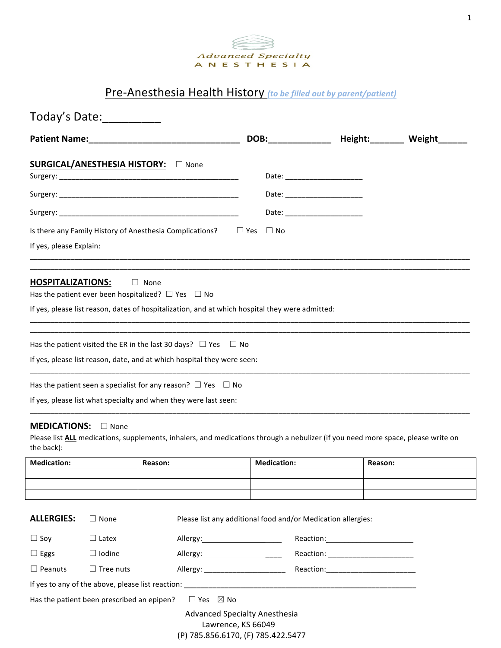

## Pre-Anesthesia Health History (to be filled out by parent/patient)

| Today's Date: 1988                                                                                                                                                                                                                  |                  |                                                                                                                                                                                |                                                              |                    |                                 |         |                        |
|-------------------------------------------------------------------------------------------------------------------------------------------------------------------------------------------------------------------------------------|------------------|--------------------------------------------------------------------------------------------------------------------------------------------------------------------------------|--------------------------------------------------------------|--------------------|---------------------------------|---------|------------------------|
| <b>Patient Name:</b> The Company of the Company of the Company of the Company of the Company of the Company of the Company of the Company of the Company of the Company of the Company of the Company of the Company of the Company |                  |                                                                                                                                                                                |                                                              | DOB:______________ |                                 |         | Height:________ Weight |
|                                                                                                                                                                                                                                     |                  | SURGICAL/ANESTHESIA HISTORY: D None                                                                                                                                            |                                                              |                    | Date: ______________________    |         |                        |
|                                                                                                                                                                                                                                     |                  |                                                                                                                                                                                |                                                              |                    |                                 |         |                        |
|                                                                                                                                                                                                                                     |                  |                                                                                                                                                                                |                                                              |                    | Date: _________________________ |         |                        |
| Is there any Family History of Anesthesia Complications?<br>$\Box$ Yes<br>If yes, please Explain:                                                                                                                                   |                  |                                                                                                                                                                                |                                                              | $\Box$ No          |                                 |         |                        |
| <b>HOSPITALIZATIONS:</b>                                                                                                                                                                                                            |                  | $\Box$ None<br>Has the patient ever been hospitalized? $\Box$ Yes $\Box$ No<br>If yes, please list reason, dates of hospitalization, and at which hospital they were admitted: |                                                              |                    |                                 |         |                        |
|                                                                                                                                                                                                                                     |                  | Has the patient visited the ER in the last 30 days? $\Box$ Yes $\Box$ No<br>If yes, please list reason, date, and at which hospital they were seen:                            |                                                              |                    |                                 |         |                        |
|                                                                                                                                                                                                                                     |                  | Has the patient seen a specialist for any reason? $\Box$ Yes $\Box$ No<br>If yes, please list what specialty and when they were last seen:                                     |                                                              |                    |                                 |         |                        |
| <b>MEDICATIONS:</b><br>the back):                                                                                                                                                                                                   | $\Box$ None      | Please list ALL medications, supplements, inhalers, and medications through a nebulizer (if you need more space, please write on                                               |                                                              |                    |                                 |         |                        |
| <b>Medication:</b>                                                                                                                                                                                                                  |                  | Reason:                                                                                                                                                                        |                                                              | <b>Medication:</b> |                                 | Reason: |                        |
|                                                                                                                                                                                                                                     |                  |                                                                                                                                                                                |                                                              |                    |                                 |         |                        |
|                                                                                                                                                                                                                                     |                  |                                                                                                                                                                                |                                                              |                    |                                 |         |                        |
| <b>ALLERGIES:</b>                                                                                                                                                                                                                   | $\Box$ None      |                                                                                                                                                                                | Please list any additional food and/or Medication allergies: |                    |                                 |         |                        |
| $\Box$ Soy                                                                                                                                                                                                                          | $\Box$ Latex     |                                                                                                                                                                                |                                                              |                    |                                 |         |                        |
| $\Box$ Eggs                                                                                                                                                                                                                         | $\Box$ Iodine    |                                                                                                                                                                                |                                                              |                    |                                 |         |                        |
| $\Box$ Peanuts                                                                                                                                                                                                                      | $\Box$ Tree nuts |                                                                                                                                                                                |                                                              |                    |                                 |         |                        |
|                                                                                                                                                                                                                                     |                  |                                                                                                                                                                                |                                                              |                    |                                 |         |                        |
| Has the patient been prescribed an epipen?                                                                                                                                                                                          |                  | $\Box$ Yes $\boxtimes$ No                                                                                                                                                      |                                                              |                    |                                 |         |                        |
|                                                                                                                                                                                                                                     |                  | <b>Advanced Specialty Anesthesia</b><br>(P) 785.856.6170, (F) 785.422.5477                                                                                                     | Lawrence, KS 66049                                           |                    |                                 |         |                        |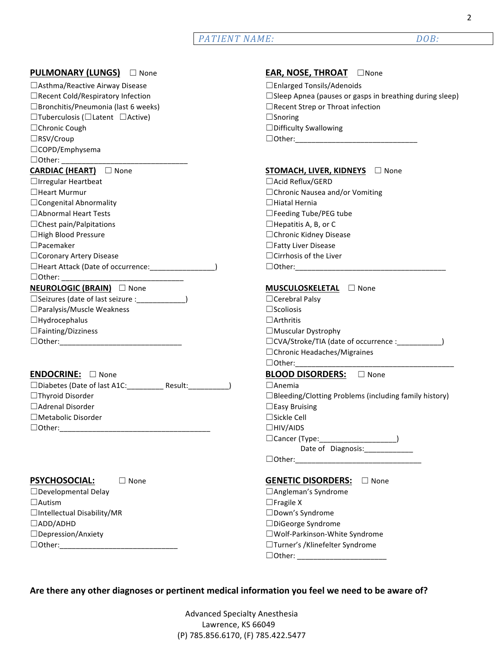## *PATIENT NAME: DOB:*

| <b>PULMONARY (LUNGS)</b> None                                | EAR, NOSE, THROAT DNone                                      |
|--------------------------------------------------------------|--------------------------------------------------------------|
| □ Asthma/Reactive Airway Disease                             | □ Enlarged Tonsils/Adenoids                                  |
| □ Recent Cold/Respiratory Infection                          | □ Sleep Apnea (pauses or gasps in breathing during sleep)    |
| □ Bronchitis/Pneumonia (last 6 weeks)                        | □ Recent Strep or Throat infection                           |
| $\Box$ Tuberculosis ( $\Box$ Latent $\Box$ Active)           | $\Box$ Snoring                                               |
| □ Chronic Cough                                              | □ Difficulty Swallowing                                      |
| □RSV/Croup                                                   |                                                              |
| □COPD/Emphysema                                              |                                                              |
|                                                              |                                                              |
| <b>CARDIAC (HEART)</b> None                                  | STOMACH, LIVER, KIDNEYS □ None                               |
| $\Box$ Irregular Heartbeat                                   | □ Acid Reflux/GERD                                           |
| □ Heart Murmur                                               | □ Chronic Nausea and/or Vomiting                             |
| $\Box$ Congenital Abnormality                                | $\Box$ Hiatal Hernia                                         |
| □ Abnormal Heart Tests                                       | □ Feeding Tube/PEG tube                                      |
| $\Box$ Chest pain/Palpitations                               | $\Box$ Hepatitis A, B, or C                                  |
| □High Blood Pressure                                         | □ Chronic Kidney Disease                                     |
| $\Box$ Pacemaker                                             | □ Fatty Liver Disease                                        |
| □ Coronary Artery Disease                                    | $\Box$ Cirrhosis of the Liver                                |
| □Heart Attack (Date of occurrence: _________________)        |                                                              |
|                                                              |                                                              |
| NEUROLOGIC (BRAIN) □ None                                    | MUSCULOSKELETAL <b>D</b> None                                |
| □ Seizures (date of last seizure : ________________)         | □ Cerebral Palsy                                             |
| □ Paralysis/Muscle Weakness                                  | $\square$ Scoliosis                                          |
| $\Box$ Hydrocephalus                                         | $\Box$ Arthritis                                             |
| $\Box$ Fainting/Dizziness                                    | $\Box$ Muscular Dystrophy                                    |
|                                                              |                                                              |
|                                                              | □ Chronic Headaches/Migraines                                |
|                                                              |                                                              |
| ENDOCRINE: None                                              | BLOOD DISORDERS: D None                                      |
| □Diabetes (Date of last A1C: ___________ Result: ___________ | $\Box$ Anemia                                                |
| □Thyroid Disorder                                            | $\Box$ Bleeding/Clotting Problems (including family history) |
| □ Adrenal Disorder                                           | $\Box$ Easy Bruising                                         |
| □ Metabolic Disorder                                         | □Sickle Cell                                                 |
| $\Box$ Other:                                                | $\Box$ HIV/AIDS                                              |
|                                                              | □Cancer (Type: _____________________)                        |
|                                                              | Date of Diagnosis:_____________                              |
|                                                              |                                                              |
| <b>PSYCHOSOCIAL:</b><br>$\Box$ None                          | <b>GENETIC DISORDERS:</b><br>$\Box$ None                     |
| $\Box$ Developmental Delay                                   | □ Angleman's Syndrome                                        |
| $\Box$ Autism                                                | $\Box$ Fragile X                                             |
| □Intellectual Disability/MR                                  | □Down's Syndrome                                             |
| $\Box$ ADD/ADHD                                              | □DiGeorge Syndrome                                           |
| □ Depression/Anxiety                                         | □Wolf-Parkinson-White Syndrome                               |
|                                                              | □Turner's /Klinefelter Syndrome                              |
|                                                              |                                                              |
|                                                              |                                                              |

Are there any other diagnoses or pertinent medical information you feel we need to be aware of?

 Advanced Specialty Anesthesia Lawrence, KS 66049 (P) 785.856.6170, (F) 785.422.5477